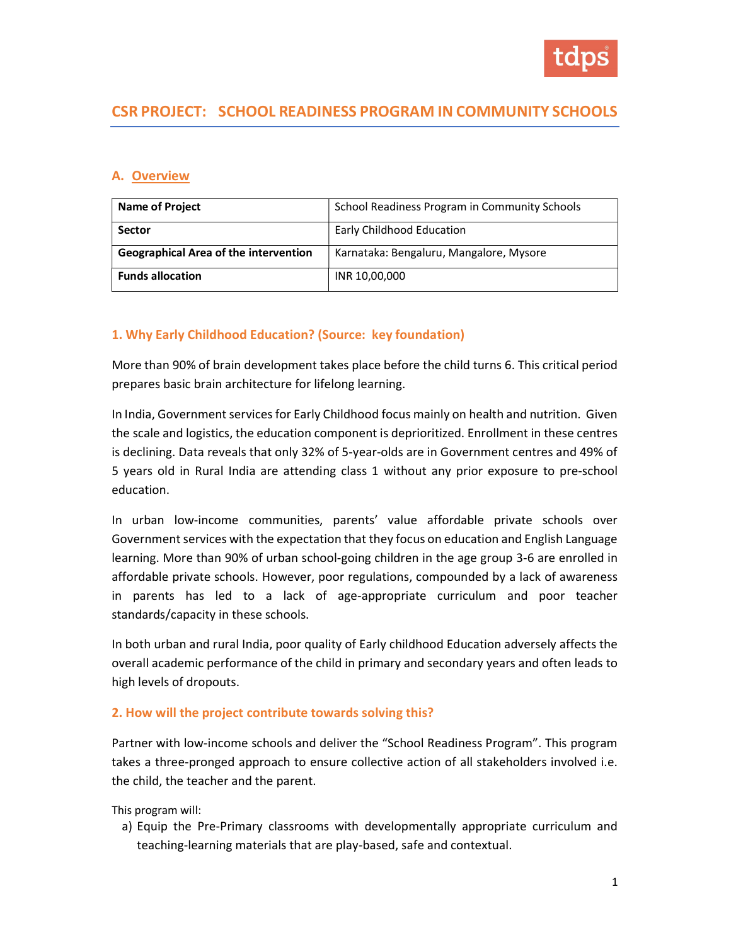

# CSR PROJECT: SCHOOL READINESS PROGRAM IN COMMUNITY SCHOOLS

#### A. Overview

| <b>Name of Project</b>                       | School Readiness Program in Community Schools |
|----------------------------------------------|-----------------------------------------------|
| <b>Sector</b>                                | <b>Early Childhood Education</b>              |
| <b>Geographical Area of the intervention</b> | Karnataka: Bengaluru, Mangalore, Mysore       |
| <b>Funds allocation</b>                      | INR 10,00,000                                 |

#### 1. Why Early Childhood Education? (Source: key foundation)

More than 90% of brain development takes place before the child turns 6. This critical period prepares basic brain architecture for lifelong learning.

In India, Government services for Early Childhood focus mainly on health and nutrition. Given the scale and logistics, the education component is deprioritized. Enrollment in these centres is declining. Data reveals that only 32% of 5-year-olds are in Government centres and 49% of 5 years old in Rural India are attending class 1 without any prior exposure to pre-school education.

In urban low-income communities, parents' value affordable private schools over Government services with the expectation that they focus on education and English Language learning. More than 90% of urban school-going children in the age group 3-6 are enrolled in affordable private schools. However, poor regulations, compounded by a lack of awareness in parents has led to a lack of age-appropriate curriculum and poor teacher standards/capacity in these schools.

In both urban and rural India, poor quality of Early childhood Education adversely affects the overall academic performance of the child in primary and secondary years and often leads to high levels of dropouts.

#### 2. How will the project contribute towards solving this?

Partner with low-income schools and deliver the "School Readiness Program". This program takes a three-pronged approach to ensure collective action of all stakeholders involved i.e. the child, the teacher and the parent.

This program will:

a) Equip the Pre-Primary classrooms with developmentally appropriate curriculum and teaching-learning materials that are play-based, safe and contextual.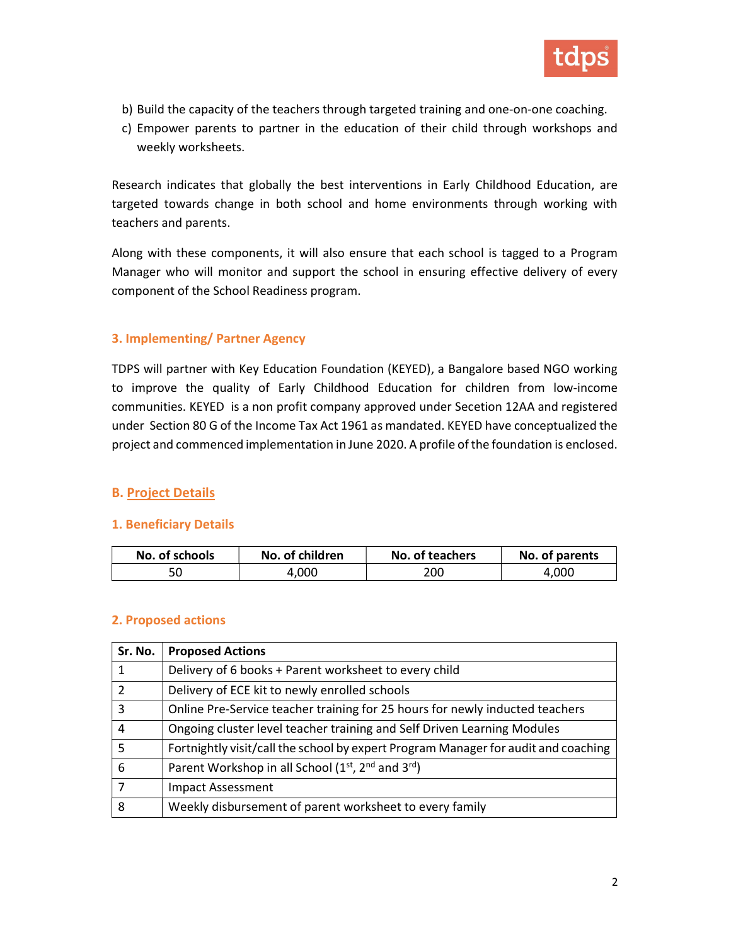

- b) Build the capacity of the teachers through targeted training and one-on-one coaching.
- c) Empower parents to partner in the education of their child through workshops and weekly worksheets.

Research indicates that globally the best interventions in Early Childhood Education, are targeted towards change in both school and home environments through working with teachers and parents.

Along with these components, it will also ensure that each school is tagged to a Program Manager who will monitor and support the school in ensuring effective delivery of every component of the School Readiness program.

### 3. Implementing/ Partner Agency

TDPS will partner with Key Education Foundation (KEYED), a Bangalore based NGO working to improve the quality of Early Childhood Education for children from low-income communities. KEYED is a non profit company approved under Secetion 12AA and registered under Section 80 G of the Income Tax Act 1961 as mandated. KEYED have conceptualized the project and commenced implementation in June 2020. A profile of the foundation is enclosed.

#### B. Project Details

#### 1. Beneficiary Details

| No. of schools | No. of children | No. of teachers | No. of parents |
|----------------|-----------------|-----------------|----------------|
|                | 4.000           | 200             | 4.000          |

#### 2. Proposed actions

| Sr. No.       | <b>Proposed Actions</b>                                                                |
|---------------|----------------------------------------------------------------------------------------|
| 1             | Delivery of 6 books + Parent worksheet to every child                                  |
| $\mathcal{P}$ | Delivery of ECE kit to newly enrolled schools                                          |
| 3             | Online Pre-Service teacher training for 25 hours for newly inducted teachers           |
| 4             | Ongoing cluster level teacher training and Self Driven Learning Modules                |
| 5             | Fortnightly visit/call the school by expert Program Manager for audit and coaching     |
| 6             | Parent Workshop in all School (1 <sup>st</sup> , 2 <sup>nd</sup> and 3 <sup>rd</sup> ) |
|               | <b>Impact Assessment</b>                                                               |
| 8             | Weekly disbursement of parent worksheet to every family                                |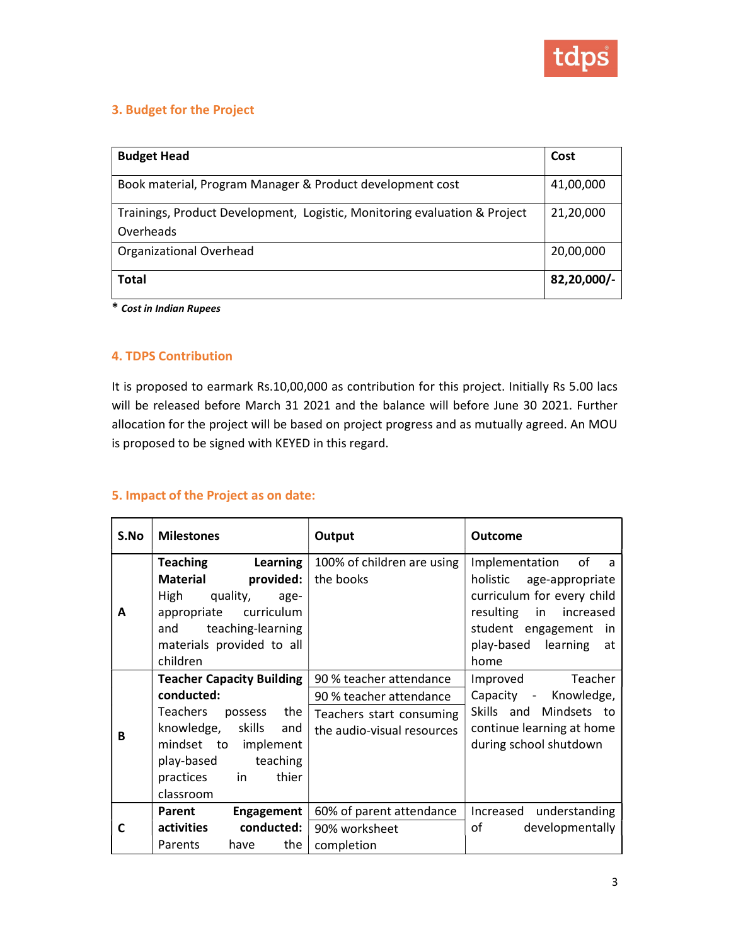

#### 3. Budget for the Project

| <b>Budget Head</b>                                                                     | Cost        |
|----------------------------------------------------------------------------------------|-------------|
| Book material, Program Manager & Product development cost                              | 41,00,000   |
| Trainings, Product Development, Logistic, Monitoring evaluation & Project<br>Overheads | 21,20,000   |
| Organizational Overhead                                                                | 20,00,000   |
| <b>Total</b>                                                                           | 82,20,000/- |

\* Cost in Indian Rupees

#### 4. TDPS Contribution

It is proposed to earmark Rs.10,00,000 as contribution for this project. Initially Rs 5.00 lacs will be released before March 31 2021 and the balance will before June 30 2021. Further allocation for the project will be based on project progress and as mutually agreed. An MOU is proposed to be signed with KEYED in this regard.

## 5. Impact of the Project as on date:

| S.No | <b>Milestones</b>                                                                                                                                                                                   | Output                                                                                                       | <b>Outcome</b>                                                                                                                                                                                 |
|------|-----------------------------------------------------------------------------------------------------------------------------------------------------------------------------------------------------|--------------------------------------------------------------------------------------------------------------|------------------------------------------------------------------------------------------------------------------------------------------------------------------------------------------------|
| A    | Teaching<br>Learning<br>provided:<br>Material<br>High<br>quality,<br>age-<br>curriculum<br>appropriate<br>teaching-learning<br>and<br>materials provided to all<br>children                         | 100% of children are using<br>the books                                                                      | Implementation<br>of<br>a<br>holistic<br>age-appropriate<br>curriculum for every child<br>resulting in<br>increased<br>student engagement<br><i>in</i><br>learning<br>play-based<br>at<br>home |
| B    | <b>Teacher Capacity Building</b><br>conducted:<br>Teachers<br>the<br>possess<br>knowledge, skills<br>and<br>mindset to implement<br>play-based<br>teaching<br>thier<br>practices<br>in<br>classroom | 90 % teacher attendance<br>90 % teacher attendance<br>Teachers start consuming<br>the audio-visual resources | Improved<br>Teacher<br>Capacity - Knowledge,<br>Skills and Mindsets to<br>continue learning at home<br>during school shutdown                                                                  |
| C    | Parent<br>Engagement<br>activities<br>conducted:<br>the<br>Parents<br>have                                                                                                                          | 60% of parent attendance<br>90% worksheet<br>completion                                                      | understanding<br>Increased<br>of<br>developmentally                                                                                                                                            |